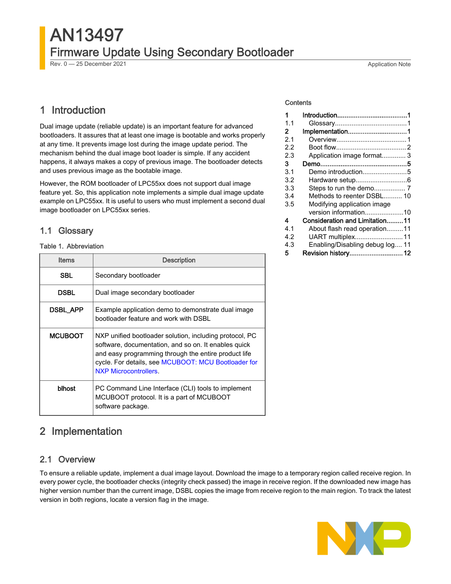# AN13497 Firmware Update Using Secondary Bootloader

Rev. 0 — 25 December 2021 **Application Note** 

# 1 Introduction

Dual image update (reliable update) is an important feature for advanced bootloaders. It assures that at least one image is bootable and works properly at any time. It prevents image lost during the image update period. The mechanism behind the dual image boot loader is simple. If any accident happens, it always makes a copy of previous image. The bootloader detects and uses previous image as the bootable image.

However, the ROM bootloader of LPC55xx does not support dual image feature yet. So, this application note implements a simple dual image update example on LPC55xx. It is useful to users who must implement a second dual image bootloader on LPC55xx series.

## 1.1 Glossary

#### Table 1. Abbreviation

| <b>Items</b>    | <b>Description</b>                                                                                                                                                                                                                                             |  |
|-----------------|----------------------------------------------------------------------------------------------------------------------------------------------------------------------------------------------------------------------------------------------------------------|--|
| <b>SBL</b>      | Secondary bootloader                                                                                                                                                                                                                                           |  |
| DSBL            | Dual image secondary bootloader                                                                                                                                                                                                                                |  |
| <b>DSBL APP</b> | Example application demo to demonstrate dual image<br>bootloader feature and work with DSBL                                                                                                                                                                    |  |
| <b>MCUBOOT</b>  | NXP unified bootloader solution, including protocol, PC<br>software, documentation, and so on. It enables quick<br>and easy programming through the entire product life<br>cycle. For details, see MCUBOOT: MCU Bootloader for<br><b>NXP Microcontrollers.</b> |  |
| blhost          | PC Command Line Interface (CLI) tools to implement<br>MCUBOOT protocol. It is a part of MCUBOOT<br>software package.                                                                                                                                           |  |

## 2 Implementation

## 2.1 Overview

To ensure a reliable update, implement a dual image layout. Download the image to a temporary region called receive region. In every power cycle, the bootloader checks (integrity check passed) the image in receive region. If the downloaded new image has higher version number than the current image, DSBL copies the image from receive region to the main region. To track the latest version in both regions, locate a version flag in the image.



#### **Contents**

| 1   |                                 |  |
|-----|---------------------------------|--|
| 1.1 |                                 |  |
| 2   | Implementation1                 |  |
| 2.1 |                                 |  |
| 22  |                                 |  |
| 2.3 | Application image format 3      |  |
| 3   |                                 |  |
| 3.1 | Demo introduction5              |  |
| 3.2 |                                 |  |
| 3.3 |                                 |  |
| 3.4 | Methods to reenter DSBL 10      |  |
| 3.5 | Modifying application image     |  |
|     | version information10           |  |
| 4   | Consideration and Limitation11  |  |
| 4.1 | About flash read operation11    |  |
| 4.2 | UART multiplex11                |  |
| 4.3 | Enabling/Disabling debug log 11 |  |
| 5   | Revision history 12             |  |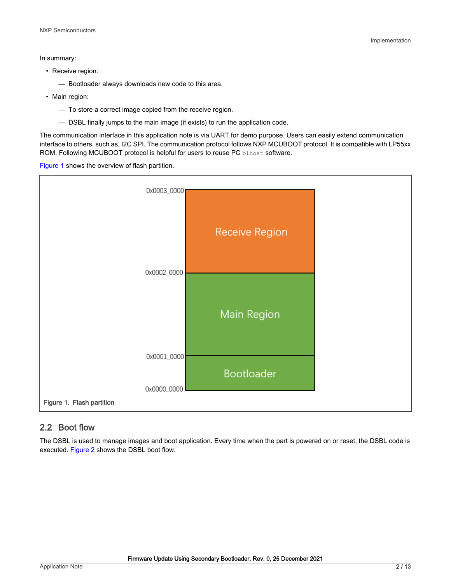<span id="page-1-0"></span>In summary:

• Receive region:

— Bootloader always downloads new code to this area.

- Main region:
	- To store a correct image copied from the receive region.
	- DSBL finally jumps to the main image (if exists) to run the application code.

The communication interface in this application note is via UART for demo purpose. Users can easily extend communication interface to others, such as, I2C SPI. The communication protocol follows NXP MCUBOOT protocol. It is compatible with LP55xx ROM. Following MCUBOOT protocol is helpful for users to reuse PC blhost software.

Figure 1 shows the overview of flash partition.



## 2.2 Boot flow

The DSBL is used to manage images and boot application. Every time when the part is powered on or reset, the DSBL code is executed. [Figure 2](#page-2-0) shows the DSBL boot flow.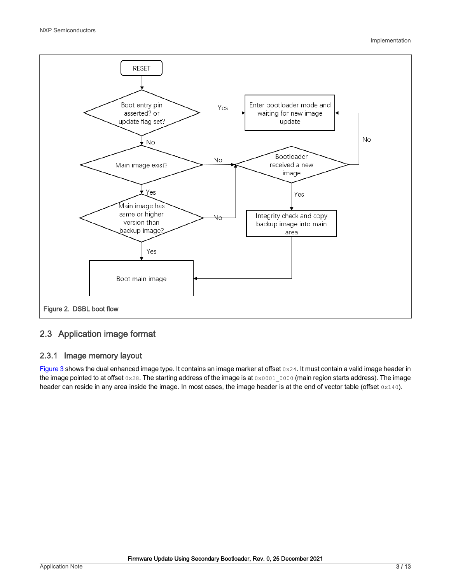<span id="page-2-0"></span>

## 2.3 Application image format

## 2.3.1 Image memory layout

[Figure 3](#page-3-0) shows the dual enhanced image type. It contains an image marker at offset 0x24. It must contain a valid image header in the image pointed to at offset  $0 \times 28$ . The starting address of the image is at  $0 \times 0001$  0000 (main region starts address). The image header can reside in any area inside the image. In most cases, the image header is at the end of vector table (offset 0x140).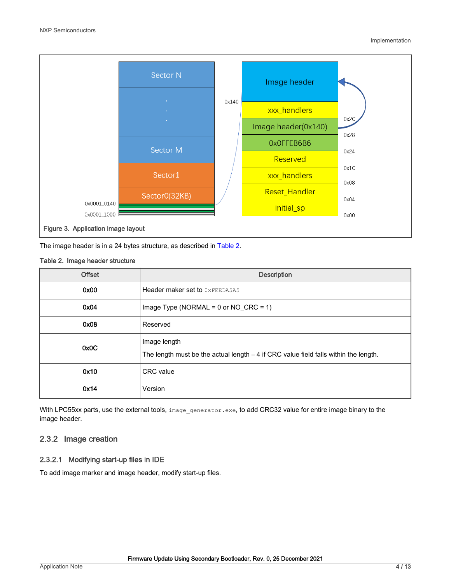<span id="page-3-0"></span>

The image header is in a 24 bytes structure, as described in Table 2.

#### Table 2. Image header structure

| <b>Offset</b> | <b>Description</b>                                                                                    |  |
|---------------|-------------------------------------------------------------------------------------------------------|--|
| 0x00          | Header maker set to OXFEEDA5A5                                                                        |  |
| 0x04          | Image Type (NORMAL = $0$ or NO_CRC = 1)                                                               |  |
| 0x08          | Reserved                                                                                              |  |
| 0x0C          | Image length<br>The length must be the actual length $-4$ if CRC value field falls within the length. |  |
| 0x10          | <b>CRC</b> value                                                                                      |  |
| 0x14          | Version                                                                                               |  |

With LPC55xx parts, use the external tools, image\_generator.exe, to add CRC32 value for entire image binary to the image header.

#### 2.3.2 Image creation

#### 2.3.2.1 Modifying start-up files in IDE

To add image marker and image header, modify start-up files.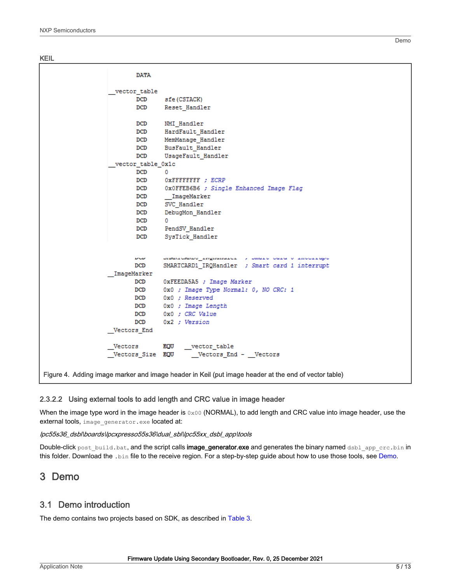<span id="page-4-0"></span>KEIL

| <b>DATA</b>       |                                                                                                      |
|-------------------|------------------------------------------------------------------------------------------------------|
| vector table      |                                                                                                      |
| DCD               | sfe (CSTACK)                                                                                         |
| <b>DCD</b>        | Reset Handler                                                                                        |
| <b>DCD</b>        | NMI Handler                                                                                          |
| DCD               | HardFault_Handler                                                                                    |
| <b>DCD</b>        | MemManage Handler                                                                                    |
| DCD               | BusFault Handler                                                                                     |
| <b>DCD</b>        | UsageFault Handler                                                                                   |
| vector table 0x1c |                                                                                                      |
| DCD               | n.                                                                                                   |
| <b>DCD</b>        | OXFFFFFFFF ; ECRP                                                                                    |
| <b>DCD</b>        | OXOFFEB6B6 ; Single Enhanced Image Flag                                                              |
| <b>DCD</b>        | ImageMarker                                                                                          |
| <b>DCD</b>        | SVC Handler                                                                                          |
| <b>DCD</b>        | DebugMon Handler                                                                                     |
| <b>DCD</b>        | 0                                                                                                    |
|                   | DCD PendSV_Handler                                                                                   |
| DCD <sub>2</sub>  | SysTick Handler                                                                                      |
|                   |                                                                                                      |
| <b>DOD</b>        | communication inginamizes y camino cara o incorrupo                                                  |
| DCD               | SMARTCARD1_IRQHandler ; Smart card 1 interrupt                                                       |
| ImageMarker       |                                                                                                      |
| DCD               | OxFEEDA5A5 ; Image Marker                                                                            |
| <b>DCD</b>        | OxO ; Image Type Normal: 0, NO CRC: 1                                                                |
| DCD <sub>2</sub>  | 0x0 ; Reserved                                                                                       |
| <b>DCD</b>        | OxO ; Image Length                                                                                   |
| <b>DCD</b>        | $0x0$ ; CRC Value                                                                                    |
| <b>DCD</b>        | 0x2 ; Version                                                                                        |
| Vectors_End       |                                                                                                      |
| Vectors EQU       | ${\underline{\hspace{1cm}}}. vector\_table$                                                          |
| Vectors Size EQU  | Vectors End - Vectors                                                                                |
|                   |                                                                                                      |
|                   | Figure 4. Adding image marker and image header in Keil (put image header at the end of vector table) |

#### 2.3.2.2 Using external tools to add length and CRC value in image header

When the image type word in the image header is  $0x00$  (NORMAL), to add length and CRC value into image header, use the external tools, image\_generator.exe located at:

#### lpc55s36\_dsbl\boards\lpcxpresso55s36\dual\_sbl\lpc55xx\_dsbl\_app\tools

Double-click post\_build.bat, and the script calls image\_generator.exe and generates the binary named dsbl\_app\_crc.bin in this folder. Download the .bin file to the receive region. For a step-by-step guide about how to use those tools, see Demo.

## 3 Demo

#### 3.1 Demo introduction

The demo contains two projects based on SDK, as described in [Table 3.](#page-5-0)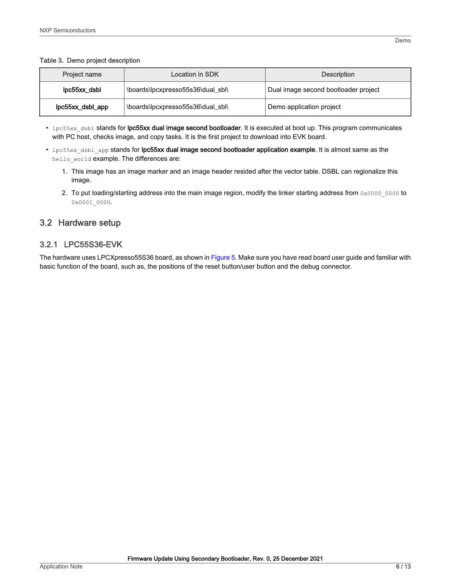#### <span id="page-5-0"></span>Table 3. Demo project description

| <b>Project name</b>                               | Location in SDK                   | <b>Description</b>                   |
|---------------------------------------------------|-----------------------------------|--------------------------------------|
| lpc55xx dsbl<br>\boards\lpcxpresso55s36\dual sbl\ |                                   | Dual image second bootloader project |
| lpc55xx_dsbl_app                                  | \boards\lpcxpresso55s36\dual sbl\ | Demo application project             |

- lpc55xx dsbl stands for lpc55xx dual image second bootloader. It is executed at boot up. This program communicates with PC host, checks image, and copy tasks. It is the first project to download into EVK board.
- lpc55xx dsbl app stands for lpc55xx dual image second bootloader application example. It is almost same as the hello\_world example. The differences are:
	- 1. This image has an image marker and an image header resided after the vector table. DSBL can regionalize this image.
	- 2. To put loading/starting address into the main image region, modify the linker starting address from  $0x00000000$  to 0x0001\_0000.

## 3.2 Hardware setup

## 3.2.1 LPC55S36-EVK

The hardware uses LPCXpresso55S36 board, as shown in [Figure 5](#page-6-0). Make sure you have read board user guide and familiar with basic function of the board, such as, the positions of the reset button/user button and the debug connector.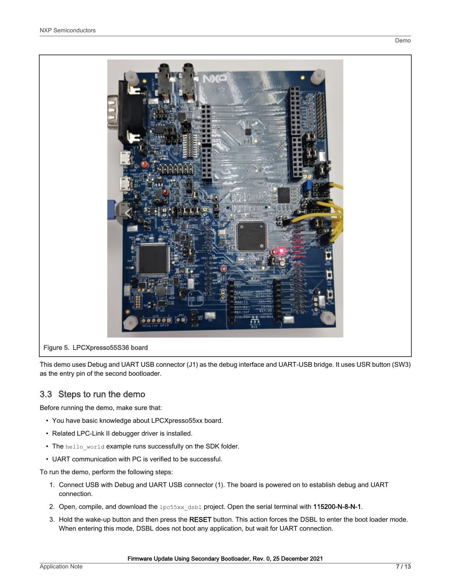<span id="page-6-0"></span>

This demo uses Debug and UART USB connector (J1) as the debug interface and UART-USB bridge. It uses USR button (SW3) as the entry pin of the second bootloader.

## 3.3 Steps to run the demo

Before running the demo, make sure that:

- You have basic knowledge about LPCXpresso55xx board.
- Related LPC-Link II debugger driver is installed.
- The hello\_world example runs successfully on the SDK folder.
- UART communication with PC is verified to be successful.

To run the demo, perform the following steps:

- 1. Connect USB with Debug and UART USB connector (1). The board is powered on to establish debug and UART connection.
- 2. Open, compile, and download the lpc55xx\_dsbl project. Open the serial terminal with 115200-N-8-N-1.
- 3. Hold the wake-up button and then press the RESET button. This action forces the DSBL to enter the boot loader mode. When entering this mode, DSBL does not boot any application, but wait for UART connection.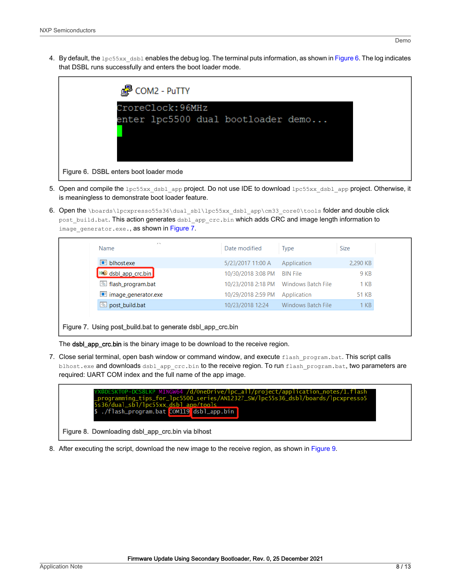4. By default, the  $1p \in 55x \times ds$  dsbl enables the debug log. The terminal puts information, as shown in Figure 6. The log indicates that DSBL runs successfully and enters the boot loader mode.



- 5. Open and compile the lpc55xx\_dsbl\_app project. Do not use IDE to download lpc55xx\_dsbl\_app project. Otherwise, it is meaningless to demonstrate boot loader feature.
- 6. Open the \boards\lpcxpresso55s36\dual\_sbl\lpc55xx\_dsbl\_app\cm33\_core0\tools folder and double click post\_build.bat. This action generates dsbl\_app\_crc.bin which adds CRC and image length information to image generator.exe., as shown in Figure 7.

| $\mathbf{E}$ blhost.exe<br>5/23/2017 11:00 A<br>Application<br><b>HXD</b> dsbl_app_crc.bin<br>10/30/2018 3:08 PM<br>9 KB<br><b>BIN File</b><br>6 flash_program.bat<br>10/23/2018 2:18 PM     Windows Batch File<br>1 KB<br>image_generator.exe<br>10/29/2018 2:59 PM<br>51 KB<br>Application<br>post build.bat<br>Windows Batch File<br>1 KB<br>10/23/2018 12:24 | <b>AN</b><br>Name | Date modified | <b>Type</b> | <b>Size</b> |
|------------------------------------------------------------------------------------------------------------------------------------------------------------------------------------------------------------------------------------------------------------------------------------------------------------------------------------------------------------------|-------------------|---------------|-------------|-------------|
|                                                                                                                                                                                                                                                                                                                                                                  |                   |               |             | 2,290 KB    |
|                                                                                                                                                                                                                                                                                                                                                                  |                   |               |             |             |
|                                                                                                                                                                                                                                                                                                                                                                  |                   |               |             |             |
|                                                                                                                                                                                                                                                                                                                                                                  |                   |               |             |             |
|                                                                                                                                                                                                                                                                                                                                                                  |                   |               |             |             |

#### Figure 7. Using post\_build.bat to generate dsbl\_app\_crc.bin

The dsbl\_app\_crc.bin is the binary image to be download to the receive region.

7. Close serial terminal, open bash window or command window, and execute flash program.bat. This script calls blhost.exe and downloads dsbl\_app\_crc.bin to the receive region. To run flash\_program.bat, two parameters are required: UART COM index and the full name of the app image.



8. After executing the script, download the new image to the receive region, as shown in [Figure 9.](#page-8-0)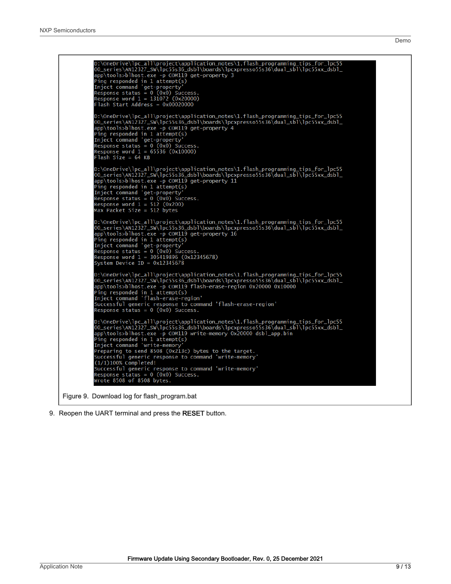<span id="page-8-0"></span>

9. Reopen the UART terminal and press the RESET button.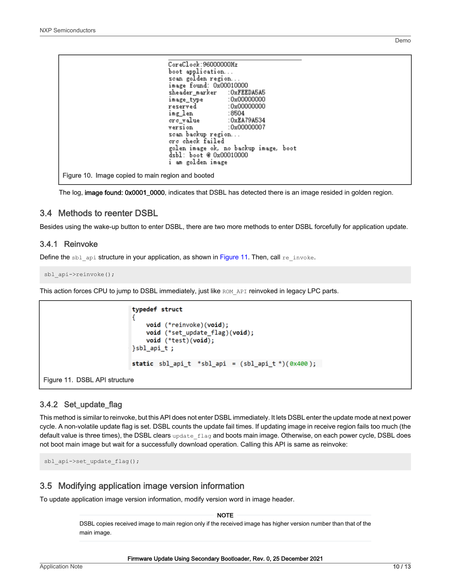<span id="page-9-0"></span>

| CoreClock:96000000Hz           |                                       |  |
|--------------------------------|---------------------------------------|--|
| boot application               |                                       |  |
| scan golden region             |                                       |  |
| image found: 0x00010000        |                                       |  |
| sheader_marker     :OxFEEDA5A5 |                                       |  |
| image_type :0x00000000         |                                       |  |
| reserved: 0x00000000           |                                       |  |
| img_len :8504                  |                                       |  |
| crc_value : 0xEA79A534         |                                       |  |
| version : 0x00000007           |                                       |  |
| scan backup region             |                                       |  |
| crc check failed               |                                       |  |
|                                | golen image ok, no backup image, boot |  |
| dsbl: boot @ 0x00010000        |                                       |  |
| i am golden image              |                                       |  |
|                                |                                       |  |
|                                |                                       |  |

Figure 10. Image copied to main region and booted

The log, image found: 0x0001\_0000, indicates that DSBL has detected there is an image resided in golden region.

#### 3.4 Methods to reenter DSBL

Besides using the wake-up button to enter DSBL, there are two more methods to enter DSBL forcefully for application update.

#### 3.4.1 Reinvoke

Define the sbl\_api structure in your application, as shown in Figure 11. Then, call re\_invoke.

sbl api->reinvoke();

This action forces CPU to jump to DSBL immediately, just like ROM API reinvoked in legacy LPC parts.

```
typedef struct
                         €
                             void (*reinvoke)(void);
                             void (*set_update_flag)(void);
                             void (*test)(void);
                         }sbl_api_t;
                         static sbl_api_t *sbl_api = (sbl_api_t *)(0x400);
Figure 11. DSBL API structure
```
#### 3.4.2 Set\_update\_flag

This method is similar to reinvoke, but this API does not enter DSBL immediately. It lets DSBL enter the update mode at next power cycle. A non-volatile update flag is set. DSBL counts the update fail times. If updating image in receive region fails too much (the default value is three times), the DSBL clears update flag and boots main image. Otherwise, on each power cycle, DSBL does not boot main image but wait for a successfully download operation. Calling this API is same as reinvoke:

sbl api->set update flag();

#### 3.5 Modifying application image version information

To update application image version information, modify version word in image header.

NOTE

DSBL copies received image to main region only if the received image has higher version number than that of the main image.

Demo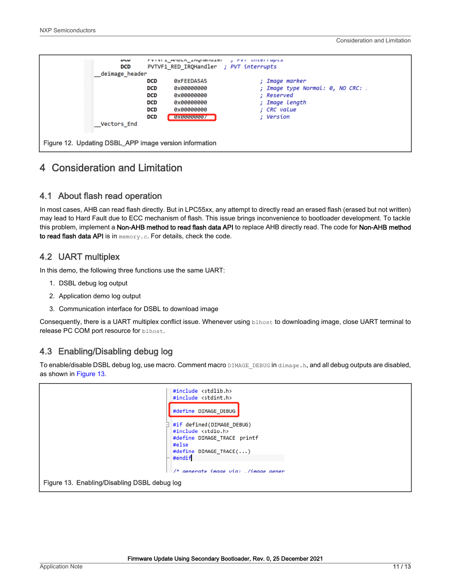<span id="page-10-0"></span>

## 4 Consideration and Limitation

#### 4.1 About flash read operation

In most cases, AHB can read flash directly. But in LPC55xx, any attempt to directly read an erased flash (erased but not written) may lead to Hard Fault due to ECC mechanism of flash. This issue brings inconvenience to bootloader development. To tackle this problem, implement a Non-AHB method to read flash data API to replace AHB directly read. The code for Non-AHB method to read flash data API is in memory.c. For details, check the code.

## 4.2 UART multiplex

In this demo, the following three functions use the same UART:

- 1. DSBL debug log output
- 2. Application demo log output
- 3. Communication interface for DSBL to download image

Consequently, there is a UART multiplex conflict issue. Whenever using blhost to downloading image, close UART terminal to release PC COM port resource for blhost.

## 4.3 Enabling/Disabling debug log

To enable/disable DSBL debug log, use macro. Comment macro DIMAGE DEBUG in dimage.h, and all debug outputs are disabled, as shown in Figure 13.

|                                              | #include <stdlib.h><br/><math>#include</math> <math>\leq</math> stdint.h&gt;<br/>#define DIMAGE DEBUG</stdlib.h>                          |
|----------------------------------------------|-------------------------------------------------------------------------------------------------------------------------------------------|
|                                              | #if defined(DIMAGE DEBUG)<br>#include <stdio.h><br/>#define DIMAGE TRACE printf<br/>#else<br/>#define DIMAGE TRACE()<br/>#endif</stdio.h> |
| Figure 13. Enabling/Disabling DSBL debug log | $/*$ generate image via: ./image gener                                                                                                    |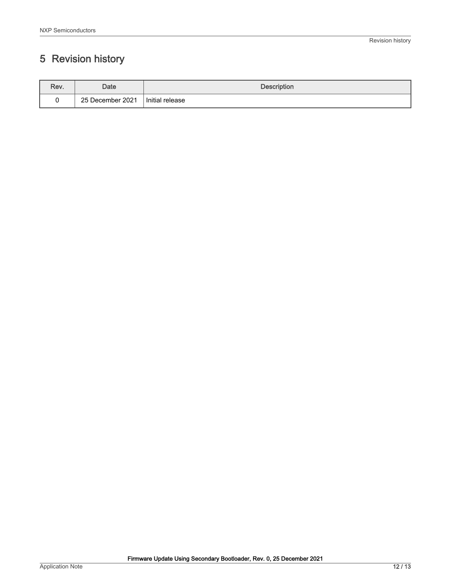# <span id="page-11-0"></span>5 Revision history

| Rev. | Date             | <b>Description</b> |
|------|------------------|--------------------|
|      | 25 December 2021 | Initial release    |